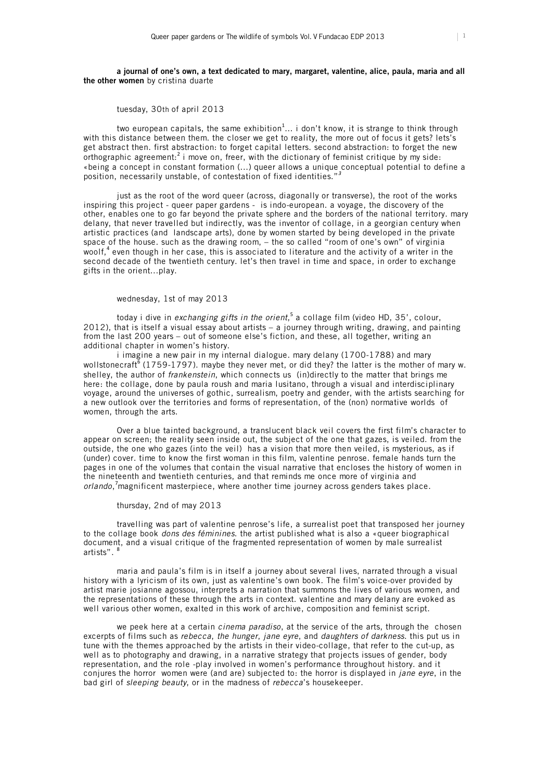#### **a journal of one's own, a text dedicated to mary, margaret, valentine, alice, paula, maria and all the other women** by cristina duarte

# tuesday, 30th of april 2013

two european capitals, the same exhibition $^{1}...$  i don't know, it is strange to think through with this distance between them. the closer we get to reality, the more out of focus it gets? lets's get abstract then. first abstraction: to forget capital letters. second abstraction: to forget the new orthographic agreement:<sup>2</sup> i move on, freer, with the dictionary of feminist critique by my side: «being a concept in constant formation (...) queer allows a unique conceptual potential to define a position, necessarily unstable, of contestation of fixed identities."*<sup>3</sup>*

just as the root of the word queer (across, diagonally or transverse), the root of the works inspiring this project - queer paper gardens - is indo-european. a voyage, the discovery of the other, enables one to go far beyond the private sphere and the borders of the national territory. mary delany, that never travelled but indirectly, was the inventor of collage, in a georgian century when artistic practices (and landscape arts), done by women started by being developed in the private space of the house. such as the drawing room, – the so called "room of one's own" of virginia woolf,<sup>4</sup> even though in her case, this is associated to literature and the activity of a writer in the second decade of the twentieth century. let's then travel in time and space, in order to exchange gifts in the orient...play.

# wednesday, 1st of may 2013

today i dive in *exchanging gifts in the orient*,<sup>5</sup> a collage film (video HD, 35', colour, 2012), that is itself a visual essay about artists – a journey through writing, drawing, and painting from the last 200 years – out of someone else's fiction, and these, all together, writing an additional chapter in women's history.

i imagine a new pair in my internal dialogue. mary delany (1700-1788) and mary wollstonecraft  $(1759-1797)$ . maybe they never met, or did they? the latter is the mother of mary w. shelley, the author of *frankenstein*, which connects us (in)directly to the matter that brings me here: the collage, done by paula roush and maria lusitano, through a visual and interdisciplinary voyage, around the universes of gothic, surrealism, poetry and gender, with the artists searching for a new outlook over the territories and forms of representation, of the (non) normative worlds of women, through the arts.

Over a blue tainted background, a translucent black veil covers the first film's character to appear on screen; the reality seen inside out, the subject of the one that gazes, is veiled. from the outside, the one who gazes (into the veil) has a vision that more then veiled, is mysterious, as if (under) cover. time to know the first woman in this film, valentine penrose. female hands turn the pages in one of the volumes that contain the visual narrative that encloses the history of women in the nineteenth and twentieth centuries, and that reminds me once more of virginia and *orlando*, 7 magnificent masterpiece, where another time journey across genders takes place.

#### thursday, 2nd of may 2013

travelling was part of valentine penrose's life, a surrealist poet that transposed her journey to the collage book *dons des féminines*. the artist published what is also a «queer biographical document, and a visual critique of the fragmented representation of women by male surrealist artists". <sup>8</sup>

maria and paula's film is in itself a journey about several lives, narrated through a visual history with a lyricism of its own, just as valentine's own book. The film's voice-over provided by artist marie josianne agossou, interprets a narration that summons the lives of various women, and the representations of these through the arts in context. valentine and mary delany are evoked as well various other women, exalted in this work of archive, composition and feminist script.

we peek here at a certain *cinema paradiso*, at the service of the arts, through the chosen excerpts of films such as *rebecca*, *the hunger*, *jane eyre*, and *daughters of darkness*. this put us in tune with the themes approached by the artists in their video-collage, that refer to the cut-up, as well as to photography and drawing, in a narrative strategy that projects issues of gender, body representation, and the role -play involved in women's performance throughout history. and it conjures the horror women were (and are) subjected to: the horror is displayed in *jane eyre*, in the bad girl of *sleeping beauty*, or in the madness of *rebecca*'s housekeeper.